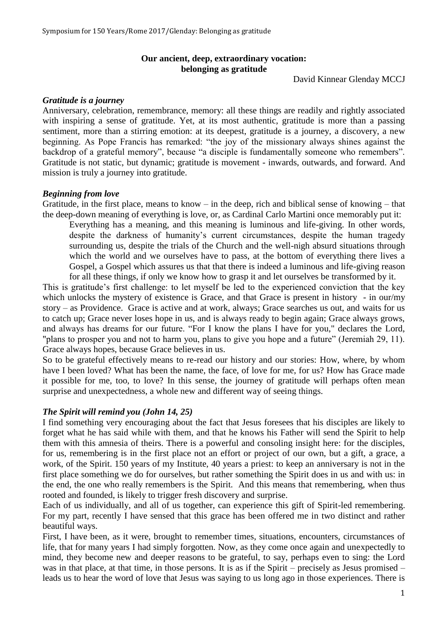## **Our ancient, deep, extraordinary vocation: belonging as gratitude**

David Kinnear Glenday MCCJ

### *Gratitude is a journey*

Anniversary, celebration, remembrance, memory: all these things are readily and rightly associated with inspiring a sense of gratitude. Yet, at its most authentic, gratitude is more than a passing sentiment, more than a stirring emotion: at its deepest, gratitude is a journey, a discovery, a new beginning. As Pope Francis has remarked: "the joy of the missionary always shines against the backdrop of a grateful memory", because "a disciple is fundamentally someone who remembers". Gratitude is not static, but dynamic; gratitude is movement - inwards, outwards, and forward. And mission is truly a journey into gratitude.

### *Beginning from love*

Gratitude, in the first place, means to know – in the deep, rich and biblical sense of knowing – that the deep-down meaning of everything is love, or, as Cardinal Carlo Martini once memorably put it:

Everything has a meaning, and this meaning is luminous and life-giving. In other words, despite the darkness of humanity's current circumstances, despite the human tragedy surrounding us, despite the trials of the Church and the well-nigh absurd situations through which the world and we ourselves have to pass, at the bottom of everything there lives a Gospel, a Gospel which assures us that that there is indeed a luminous and life-giving reason for all these things, if only we know how to grasp it and let ourselves be transformed by it.

This is gratitude's first challenge: to let myself be led to the experienced conviction that the key which unlocks the mystery of existence is Grace, and that Grace is present in history - in our/my story – as Providence. Grace is active and at work, always; Grace searches us out, and waits for us to catch up; Grace never loses hope in us, and is always ready to begin again; Grace always grows, and always has dreams for our future. "For I know the plans I have for you," declares the Lord, "plans to prosper you and not to harm you, plans to give you hope and a future" (Jeremiah 29, 11). Grace always hopes, because Grace believes in us.

So to be grateful effectively means to re-read our history and our stories: How, where, by whom have I been loved? What has been the name, the face, of love for me, for us? How has Grace made it possible for me, too, to love? In this sense, the journey of gratitude will perhaps often mean surprise and unexpectedness, a whole new and different way of seeing things.

# *The Spirit will remind you (John 14, 25)*

I find something very encouraging about the fact that Jesus foresees that his disciples are likely to forget what he has said while with them, and that he knows his Father will send the Spirit to help them with this amnesia of theirs. There is a powerful and consoling insight here: for the disciples, for us, remembering is in the first place not an effort or project of our own, but a gift, a grace, a work, of the Spirit. 150 years of my Institute, 40 years a priest: to keep an anniversary is not in the first place something we do for ourselves, but rather something the Spirit does in us and with us: in the end, the one who really remembers is the Spirit. And this means that remembering, when thus rooted and founded, is likely to trigger fresh discovery and surprise.

Each of us individually, and all of us together, can experience this gift of Spirit-led remembering. For my part, recently I have sensed that this grace has been offered me in two distinct and rather beautiful ways.

First, I have been, as it were, brought to remember times, situations, encounters, circumstances of life, that for many years I had simply forgotten. Now, as they come once again and unexpectedly to mind, they become new and deeper reasons to be grateful, to say, perhaps even to sing: the Lord was in that place, at that time, in those persons. It is as if the Spirit – precisely as Jesus promised – leads us to hear the word of love that Jesus was saying to us long ago in those experiences. There is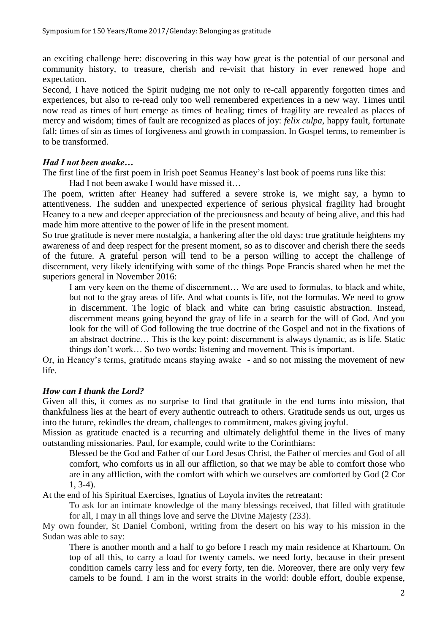an exciting challenge here: discovering in this way how great is the potential of our personal and community history, to treasure, cherish and re-visit that history in ever renewed hope and expectation.

Second, I have noticed the Spirit nudging me not only to re-call apparently forgotten times and experiences, but also to re-read only too well remembered experiences in a new way. Times until now read as times of hurt emerge as times of healing; times of fragility are revealed as places of mercy and wisdom; times of fault are recognized as places of joy: *felix culpa*, happy fault, fortunate fall; times of sin as times of forgiveness and growth in compassion. In Gospel terms, to remember is to be transformed.

# *Had I not been awake…*

The first line of the first poem in Irish poet Seamus Heaney's last book of poems runs like this:

Had I not been awake I would have missed it…

The poem, written after Heaney had suffered a severe stroke is, we might say, a hymn to attentiveness. The sudden and unexpected experience of serious physical fragility had brought Heaney to a new and deeper appreciation of the preciousness and beauty of being alive, and this had made him more attentive to the power of life in the present moment.

So true gratitude is never mere nostalgia, a hankering after the old days: true gratitude heightens my awareness of and deep respect for the present moment, so as to discover and cherish there the seeds of the future. A grateful person will tend to be a person willing to accept the challenge of discernment, very likely identifying with some of the things Pope Francis shared when he met the superiors general in November 2016:

I am very keen on the theme of discernment… We are used to formulas, to black and white, but not to the gray areas of life. And what counts is life, not the formulas. We need to grow in discernment. The logic of black and white can bring casuistic abstraction. Instead, discernment means going beyond the gray of life in a search for the will of God. And you look for the will of God following the true doctrine of the Gospel and not in the fixations of an abstract doctrine… This is the key point: discernment is always dynamic, as is life. Static things don't work… So two words: listening and movement. This is important.

Or, in Heaney's terms, gratitude means staying awake - and so not missing the movement of new life.

# *How can I thank the Lord?*

Given all this, it comes as no surprise to find that gratitude in the end turns into mission, that thankfulness lies at the heart of every authentic outreach to others. Gratitude sends us out, urges us into the future, rekindles the dream, challenges to commitment, makes giving joyful.

Mission as gratitude enacted is a recurring and ultimately delightful theme in the lives of many outstanding missionaries. Paul, for example, could write to the Corinthians:

Blessed be the God and Father of our Lord Jesus Christ, the Father of mercies and God of all comfort, who comforts us in all our affliction, so that we may be able to comfort those who are in any affliction, with the comfort with which we ourselves are comforted by God (2 Cor 1, 3-4).

At the end of his Spiritual Exercises, Ignatius of Loyola invites the retreatant:

To ask for an intimate knowledge of the many blessings received, that filled with gratitude for all, I may in all things love and serve the Divine Majesty (233).

My own founder, St Daniel Comboni, writing from the desert on his way to his mission in the Sudan was able to say:

There is another month and a half to go before I reach my main residence at Khartoum. On top of all this, to carry a load for twenty camels, we need forty, because in their present condition camels carry less and for every forty, ten die. Moreover, there are only very few camels to be found. I am in the worst straits in the world: double effort, double expense,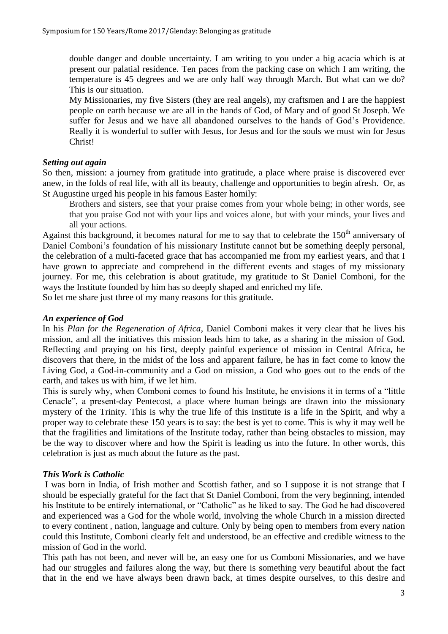double danger and double uncertainty. I am writing to you under a big acacia which is at present our palatial residence. Ten paces from the packing case on which I am writing, the temperature is 45 degrees and we are only half way through March. But what can we do? This is our situation.

My Missionaries, my five Sisters (they are real angels), my craftsmen and I are the happiest people on earth because we are all in the hands of God, of Mary and of good St Joseph. We suffer for Jesus and we have all abandoned ourselves to the hands of God's Providence. Really it is wonderful to suffer with Jesus, for Jesus and for the souls we must win for Jesus Christ!

# *Setting out again*

So then, mission: a journey from gratitude into gratitude, a place where praise is discovered ever anew, in the folds of real life, with all its beauty, challenge and opportunities to begin afresh. Or, as St Augustine urged his people in his famous Easter homily:

Brothers and sisters, see that your praise comes from your whole being; in other words, see that you praise God not with your lips and voices alone, but with your minds, your lives and all your actions.

Against this background, it becomes natural for me to say that to celebrate the 150<sup>th</sup> anniversary of Daniel Comboni's foundation of his missionary Institute cannot but be something deeply personal, the celebration of a multi-faceted grace that has accompanied me from my earliest years, and that I have grown to appreciate and comprehend in the different events and stages of my missionary journey. For me, this celebration is about gratitude, my gratitude to St Daniel Comboni, for the ways the Institute founded by him has so deeply shaped and enriched my life.

So let me share just three of my many reasons for this gratitude.

# *An experience of God*

In his *Plan for the Regeneration of Africa*, Daniel Comboni makes it very clear that he lives his mission, and all the initiatives this mission leads him to take, as a sharing in the mission of God. Reflecting and praying on his first, deeply painful experience of mission in Central Africa, he discovers that there, in the midst of the loss and apparent failure, he has in fact come to know the Living God, a God-in-community and a God on mission, a God who goes out to the ends of the earth, and takes us with him, if we let him.

This is surely why, when Comboni comes to found his Institute, he envisions it in terms of a "little Cenacle", a present-day Pentecost, a place where human beings are drawn into the missionary mystery of the Trinity. This is why the true life of this Institute is a life in the Spirit, and why a proper way to celebrate these 150 years is to say: the best is yet to come. This is why it may well be that the fragilities and limitations of the Institute today, rather than being obstacles to mission, may be the way to discover where and how the Spirit is leading us into the future. In other words, this celebration is just as much about the future as the past.

# *This Work is Catholic*

I was born in India, of Irish mother and Scottish father, and so I suppose it is not strange that I should be especially grateful for the fact that St Daniel Comboni, from the very beginning, intended his Institute to be entirely international, or "Catholic" as he liked to say. The God he had discovered and experienced was a God for the whole world, involving the whole Church in a mission directed to every continent , nation, language and culture. Only by being open to members from every nation could this Institute, Comboni clearly felt and understood, be an effective and credible witness to the mission of God in the world.

This path has not been, and never will be, an easy one for us Comboni Missionaries, and we have had our struggles and failures along the way, but there is something very beautiful about the fact that in the end we have always been drawn back, at times despite ourselves, to this desire and